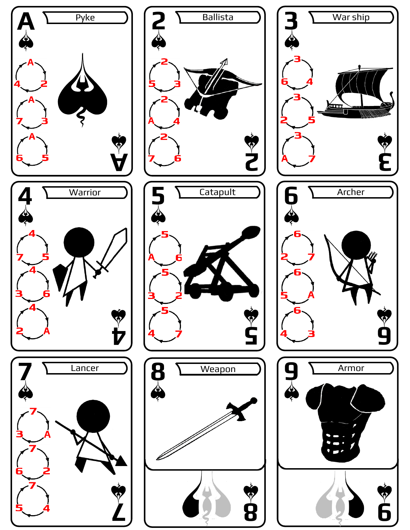



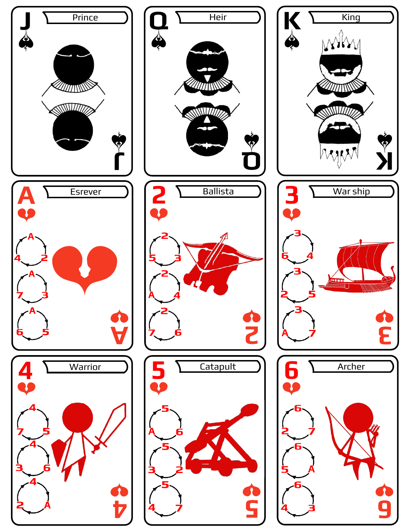



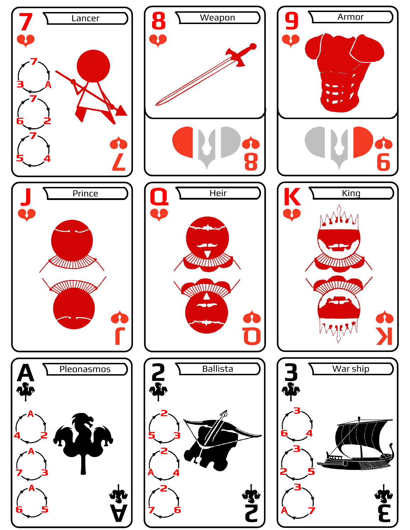



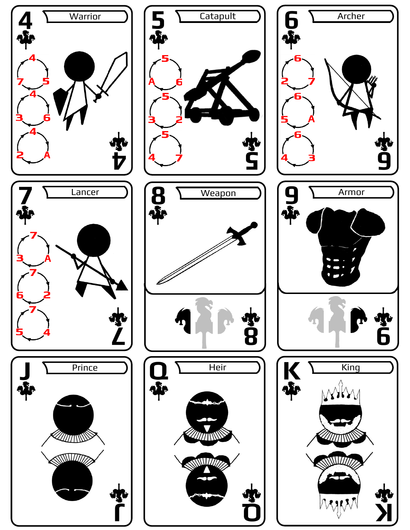



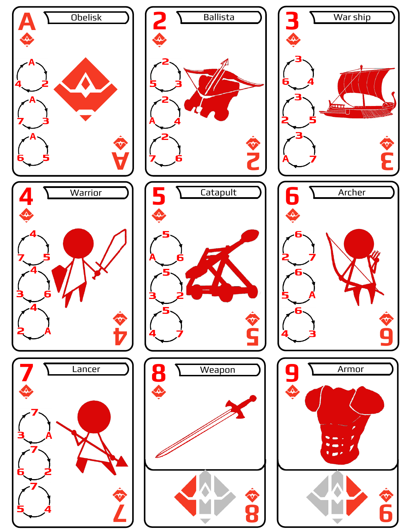





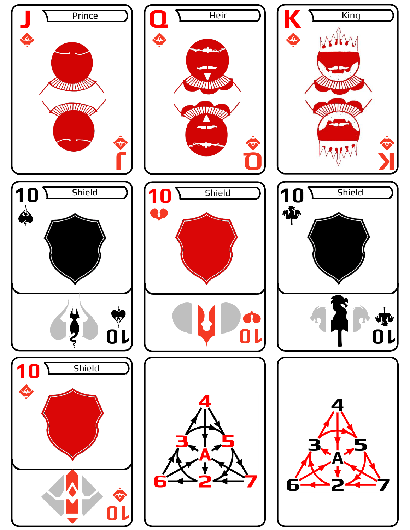